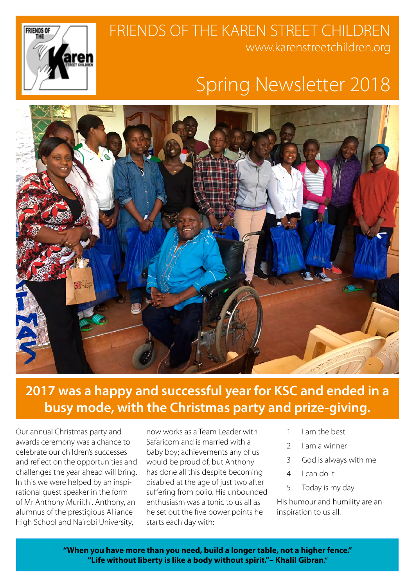## FRIENDS OF THE KAREN STREET CHILDREN www.karenstreetchildren.org



# Spring Newsletter 2018



### **2017 was a happy and successful year for KSC and ended in a busy mode, with the Christmas party and prize-giving.**

Our annual Christmas party and awards ceremony was a chance to celebrate our children's successes and reflect on the opportunities and challenges the year ahead will bring. In this we were helped by an inspirational guest speaker in the form of Mr Anthony Muriithi. Anthony, an alumnus of the prestigious Alliance High School and Nairobi University,

now works as a Team Leader with Safaricom and is married with a baby boy; achievements any of us would be proud of, but Anthony has done all this despite becoming disabled at the age of just two after suffering from polio. His unbounded enthusiasm was a tonic to us all as he set out the five power points he starts each day with:

- 1 I am the best
- 2 I am a winner
- 3 God is always with me
- 4 I can do it
- 5 Today is my day.

His humour and humility are an inspiration to us all.

**"When you have more than you need, build a longer table, not a higher fence." "Life without liberty is like a body without spirit."– Khalil Gibran."**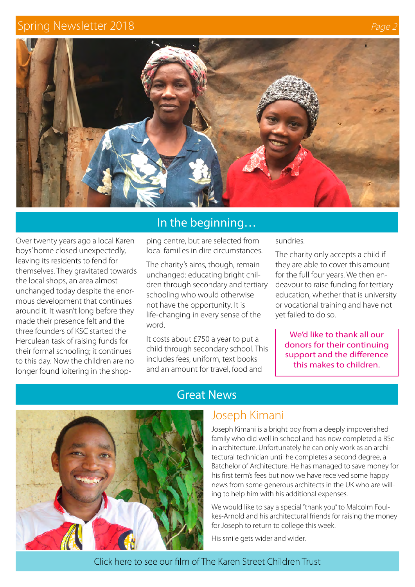#### Spring Newsletter 2018 **Page 2018 Page 2018**



Over twenty years ago a local Karen boys' home closed unexpectedly, leaving its residents to fend for themselves. They gravitated towards the local shops, an area almost unchanged today despite the enormous development that continues around it. It wasn't long before they made their presence felt and the three founders of KSC started the Herculean task of raising funds for their formal schooling; it continues to this day. Now the children are no longer found loitering in the shop-

#### In the beginning…

ping centre, but are selected from local families in dire circumstances.

The charity's aims, though, remain unchanged: educating bright children through secondary and tertiary schooling who would otherwise not have the opportunity. It is life-changing in every sense of the word.

It costs about £750 a year to put a child through secondary school. This includes fees, uniform, text books and an amount for travel, food and

sundries.

The charity only accepts a child if they are able to cover this amount for the full four years. We then endeavour to raise funding for tertiary education, whether that is university or vocational training and have not yet failed to do so.

We'd like to thank all our donors for their continuing support and the difference this makes to children.



#### Great News

#### Joseph Kimani

Joseph Kimani is a bright boy from a deeply impoverished family who did well in school and has now completed a BSc in architecture. Unfortunately he can only work as an architectural technician until he completes a second degree, a Batchelor of Architecture. He has managed to save money for his first term's fees but now we have received some happy news from some generous architects in the UK who are willing to help him with his additional expenses.

We would like to say a special "thank you" to Malcolm Foulkes-Arnold and his architectural friends for raising the money for Joseph to return to college this week.

His smile gets wider and wider.

Click here to see our film of The [Karen Street Children Trust](https://www.youtube.com/watch?v=XfdXqamAEr8)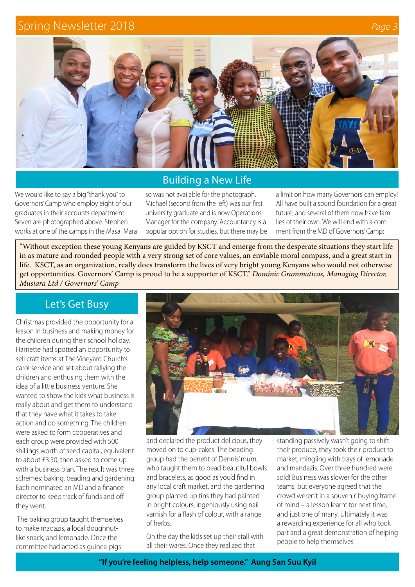#### Spring Newsletter 2018 **Page 3018** And 2018 **Page 3018** And 2018 **Page 3018** And 2018



#### Building a New Life

We would like to say a big "thank you" to Governors' Camp who employ eight of our graduates in their accounts department. Seven are photographed above. Stephen works at one of the camps in the Masai Mara so was not available for the photograph. Michael (second from the left) was our first university graduate and is now Operations Manager for the company. Accountancy is a popular option for studies, but there may be a limit on how many Governors' can employ! All have built a sound foundation for a great future, and several of them now have families of their own. We will end with a comment from the MD of Governors' Camp:

"Without exception these young Kenyans are guided by KSCT and emerge from the desperate situations they start life in as mature and rounded people with a very strong set of core values, an enviable moral compass, and a great start in life. KSCT, as an organization, really does transform the lives of very bright young Kenyans who would not otherwise get opportunities. Governors' Camp is proud to be a supporter of KSCT." *Dominic Grammaticas, Managing Director, Musiara Ltd / Governors' Camp*

#### Let's Get Busy

Christmas provided the opportunity for a lesson in business and making money for the children during their school holiday. Harriette had spotted an opportunity to sell craft items at The Vineyard Church's carol service and set about rallying the children and enthusing them with the idea of a little business venture. She wanted to show the kids what business is really about and get them to understand that they have what it takes to take action and do something. The children were asked to form cooperatives and each group were provided with 500 shillings worth of seed capital, equivalent to about £3.50, then asked to come up with a business plan. The result was three schemes: baking, beading and gardening. Each nominated an MD and a finance director to keep track of funds and off they went.

 The baking group taught themselves to make madazis, a local doughnutlike snack, and lemonade. Once the committee had acted as guinea-pigs



and declared the product delicious, they moved on to cup-cakes. The beading group had the benefit of Dennis' mum, who taught them to bead beautiful bowls and bracelets, as good as you'd find in any local craft market, and the gardening group planted up tins they had painted in bright colours, ingeniously using nail varnish for a flash of colour, with a range of herbs.

On the day the kids set up their stall with all their wares. Once they realized that

standing passively wasn't going to shift their produce, they took their product to market, mingling with trays of lemonade and mandazis. Over three hundred were sold! Business was slower for the other teams, but everyone agreed that the crowd weren't in a souvenir-buying frame of mind – a lesson learnt for next time, and just one of many. Ultimately it was a rewarding experience for all who took part and a great demonstration of helping people to help themselves.